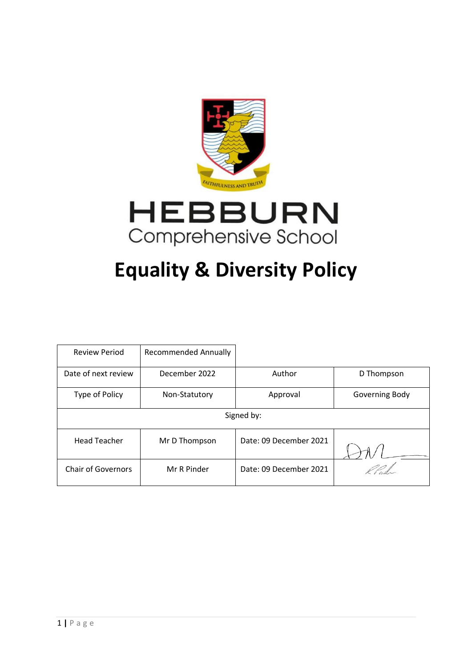



# **Equality & Diversity Policy**

| <b>Review Period</b>      | <b>Recommended Annually</b> |                        |                |
|---------------------------|-----------------------------|------------------------|----------------|
| Date of next review       | December 2022               | Author                 | D Thompson     |
| Type of Policy            | Non-Statutory               | Approval               | Governing Body |
| Signed by:                |                             |                        |                |
| <b>Head Teacher</b>       | Mr D Thompson               | Date: 09 December 2021 |                |
| <b>Chair of Governors</b> | Mr R Pinder                 | Date: 09 December 2021 |                |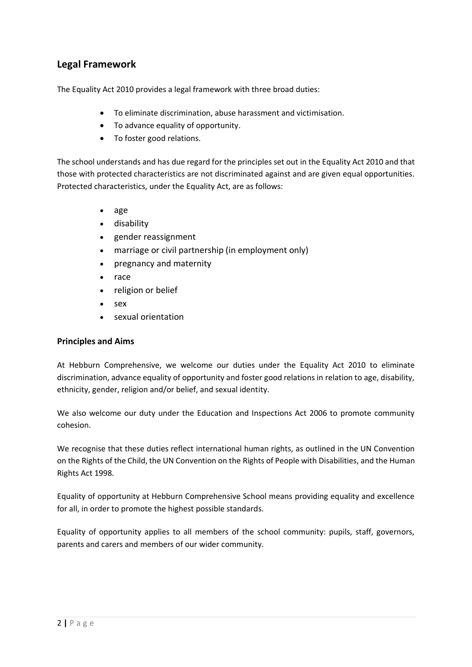## **Legal Framework**

The Equality Act 2010 provides a legal framework with three broad duties:

- To eliminate discrimination, abuse harassment and victimisation.
- To advance equality of opportunity.
- To foster good relations.

The school understands and has due regard for the principles set out in the Equality Act 2010 and that those with protected characteristics are not discriminated against and are given equal opportunities. Protected characteristics, under the Equality Act, are as follows:

- age
- disability
- gender reassignment
- marriage or civil partnership (in employment only)
- pregnancy and maternity
- race
- religion or belief
- sex
- sexual orientation

#### **Principles and Aims**

At Hebburn Comprehensive, we welcome our duties under the Equality Act 2010 to eliminate discrimination, advance equality of opportunity and foster good relations in relation to age, disability, ethnicity, gender, religion and/or belief, and sexual identity.

We also welcome our duty under the Education and Inspections Act 2006 to promote community cohesion.

We recognise that these duties reflect international human rights, as outlined in the UN Convention on the Rights of the Child, the UN Convention on the Rights of People with Disabilities, and the Human Rights Act 1998.

Equality of opportunity at Hebburn Comprehensive School means providing equality and excellence for all, in order to promote the highest possible standards.

Equality of opportunity applies to all members of the school community: pupils, staff, governors, parents and carers and members of our wider community.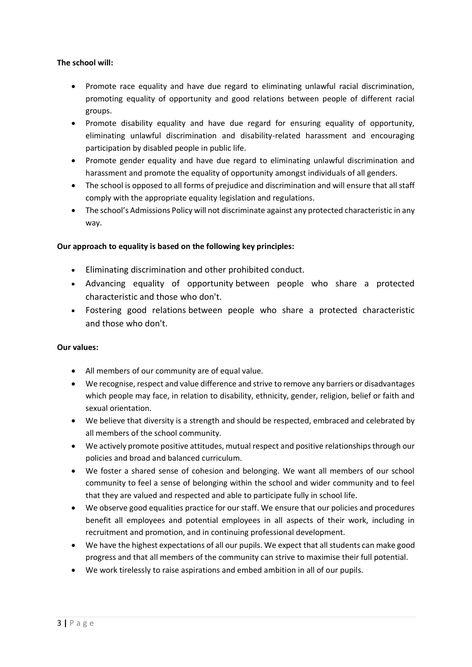#### **The school will:**

- Promote race equality and have due regard to eliminating unlawful racial discrimination, promoting equality of opportunity and good relations between people of different racial groups.
- Promote disability equality and have due regard for ensuring equality of opportunity, eliminating unlawful discrimination and disability-related harassment and encouraging participation by disabled people in public life.
- Promote gender equality and have due regard to eliminating unlawful discrimination and harassment and promote the equality of opportunity amongst individuals of all genders.
- The school is opposed to all forms of prejudice and discrimination and will ensure that all staff comply with the appropriate equality legislation and regulations.
- The school's Admissions Policy will not discriminate against any protected characteristic in any way.

#### **Our approach to equality is based on the following key principles:**

- Eliminating discrimination and other prohibited conduct.
- Advancing equality of opportunity between people who share a protected characteristic and those who don't.
- Fostering good relations between people who share a protected characteristic and those who don't.

#### **Our values:**

- All members of our community are of equal value.
- We recognise, respect and value difference and strive to remove any barriers or disadvantages which people may face, in relation to disability, ethnicity, gender, religion, belief or faith and sexual orientation.
- We believe that diversity is a strength and should be respected, embraced and celebrated by all members of the school community.
- We actively promote positive attitudes, mutual respect and positive relationships through our policies and broad and balanced curriculum.
- We foster a shared sense of cohesion and belonging. We want all members of our school community to feel a sense of belonging within the school and wider community and to feel that they are valued and respected and able to participate fully in school life.
- We observe good equalities practice for our staff. We ensure that our policies and procedures benefit all employees and potential employees in all aspects of their work, including in recruitment and promotion, and in continuing professional development.
- We have the highest expectations of all our pupils. We expect that all students can make good progress and that all members of the community can strive to maximise their full potential.
- We work tirelessly to raise aspirations and embed ambition in all of our pupils.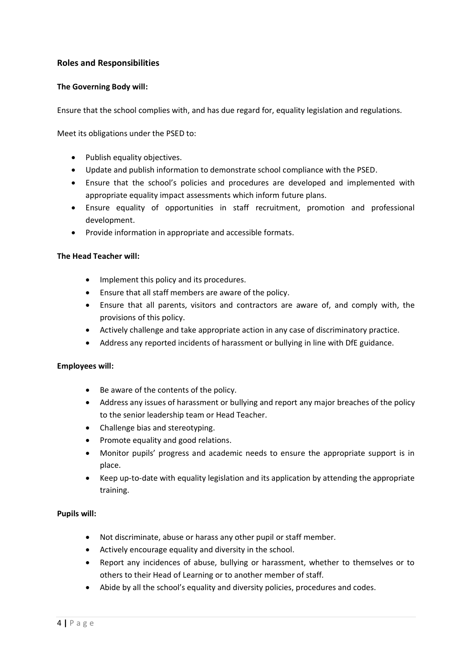## **Roles and Responsibilities**

#### **The Governing Body will:**

Ensure that the school complies with, and has due regard for, equality legislation and regulations.

Meet its obligations under the PSED to:

- Publish equality objectives.
- Update and publish information to demonstrate school compliance with the PSED.
- Ensure that the school's policies and procedures are developed and implemented with appropriate equality impact assessments which inform future plans.
- Ensure equality of opportunities in staff recruitment, promotion and professional development.
- Provide information in appropriate and accessible formats.

#### **The Head Teacher will:**

- Implement this policy and its procedures.
- Ensure that all staff members are aware of the policy.
- Ensure that all parents, visitors and contractors are aware of, and comply with, the provisions of this policy.
- Actively challenge and take appropriate action in any case of discriminatory practice.
- Address any reported incidents of harassment or bullying in line with DfE guidance.

#### **Employees will:**

- Be aware of the contents of the policy.
- Address any issues of harassment or bullying and report any major breaches of the policy to the senior leadership team or Head Teacher.
- Challenge bias and stereotyping.
- Promote equality and good relations.
- Monitor pupils' progress and academic needs to ensure the appropriate support is in place.
- Keep up-to-date with equality legislation and its application by attending the appropriate training.

#### **Pupils will:**

- Not discriminate, abuse or harass any other pupil or staff member.
- Actively encourage equality and diversity in the school.
- Report any incidences of abuse, bullying or harassment, whether to themselves or to others to their Head of Learning or to another member of staff.
- Abide by all the school's equality and diversity policies, procedures and codes.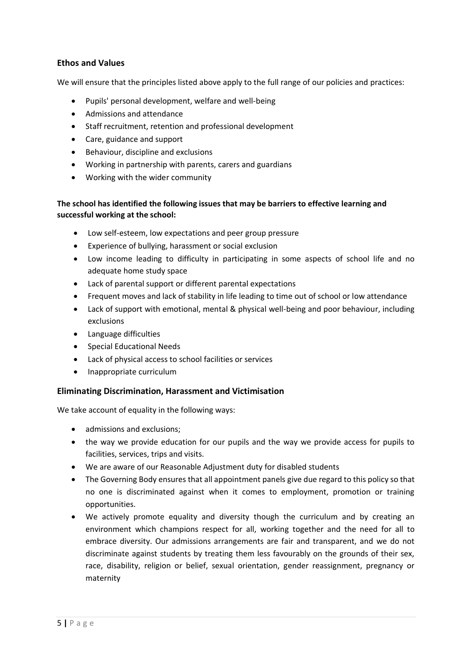## **Ethos and Values**

We will ensure that the principles listed above apply to the full range of our policies and practices:

- Pupils' personal development, welfare and well-being
- Admissions and attendance
- Staff recruitment, retention and professional development
- Care, guidance and support
- Behaviour, discipline and exclusions
- Working in partnership with parents, carers and guardians
- Working with the wider community

#### **The school has identified the following issues that may be barriers to effective learning and successful working at the school:**

- Low self-esteem, low expectations and peer group pressure
- Experience of bullying, harassment or social exclusion
- Low income leading to difficulty in participating in some aspects of school life and no adequate home study space
- Lack of parental support or different parental expectations
- Frequent moves and lack of stability in life leading to time out of school or low attendance
- Lack of support with emotional, mental & physical well-being and poor behaviour, including exclusions
- Language difficulties
- Special Educational Needs
- Lack of physical access to school facilities or services
- Inappropriate curriculum

#### **Eliminating Discrimination, Harassment and Victimisation**

We take account of equality in the following ways:

- admissions and exclusions;
- the way we provide education for our pupils and the way we provide access for pupils to facilities, services, trips and visits.
- We are aware of our Reasonable Adjustment duty for disabled students
- The Governing Body ensures that all appointment panels give due regard to this policy so that no one is discriminated against when it comes to employment, promotion or training opportunities.
- We actively promote equality and diversity though the curriculum and by creating an environment which champions respect for all, working together and the need for all to embrace diversity. Our admissions arrangements are fair and transparent, and we do not discriminate against students by treating them less favourably on the grounds of their sex, race, disability, religion or belief, sexual orientation, gender reassignment, pregnancy or maternity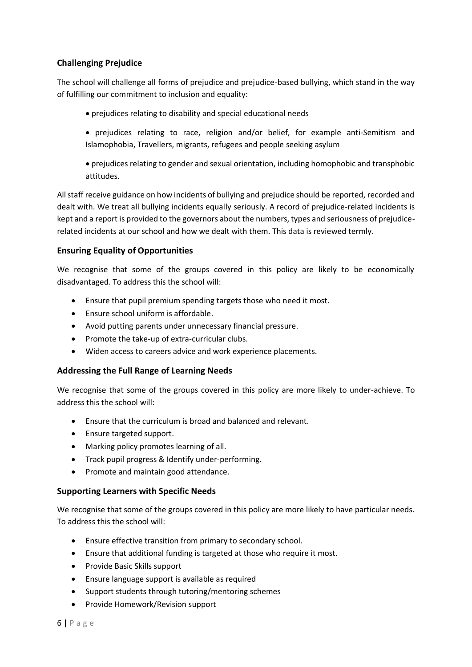## **Challenging Prejudice**

The school will challenge all forms of prejudice and prejudice-based bullying, which stand in the way of fulfilling our commitment to inclusion and equality:

- prejudices relating to disability and special educational needs
- prejudices relating to race, religion and/or belief, for example anti-Semitism and Islamophobia, Travellers, migrants, refugees and people seeking asylum
- prejudices relating to gender and sexual orientation, including homophobic and transphobic attitudes.

All staff receive guidance on how incidents of bullying and prejudice should be reported, recorded and dealt with. We treat all bullying incidents equally seriously. A record of prejudice-related incidents is kept and a report is provided to the governors about the numbers, types and seriousness of prejudicerelated incidents at our school and how we dealt with them. This data is reviewed termly.

## **Ensuring Equality of Opportunities**

We recognise that some of the groups covered in this policy are likely to be economically disadvantaged. To address this the school will:

- Ensure that pupil premium spending targets those who need it most.
- Ensure school uniform is affordable.
- Avoid putting parents under unnecessary financial pressure.
- Promote the take-up of extra-curricular clubs.
- Widen access to careers advice and work experience placements.

#### **Addressing the Full Range of Learning Needs**

We recognise that some of the groups covered in this policy are more likely to under-achieve. To address this the school will:

- Ensure that the curriculum is broad and balanced and relevant.
- Ensure targeted support.
- Marking policy promotes learning of all.
- Track pupil progress & Identify under-performing.
- Promote and maintain good attendance.

#### **Supporting Learners with Specific Needs**

We recognise that some of the groups covered in this policy are more likely to have particular needs. To address this the school will:

- Ensure effective transition from primary to secondary school.
- Ensure that additional funding is targeted at those who require it most.
- Provide Basic Skills support
- Ensure language support is available as required
- Support students through tutoring/mentoring schemes
- Provide Homework/Revision support